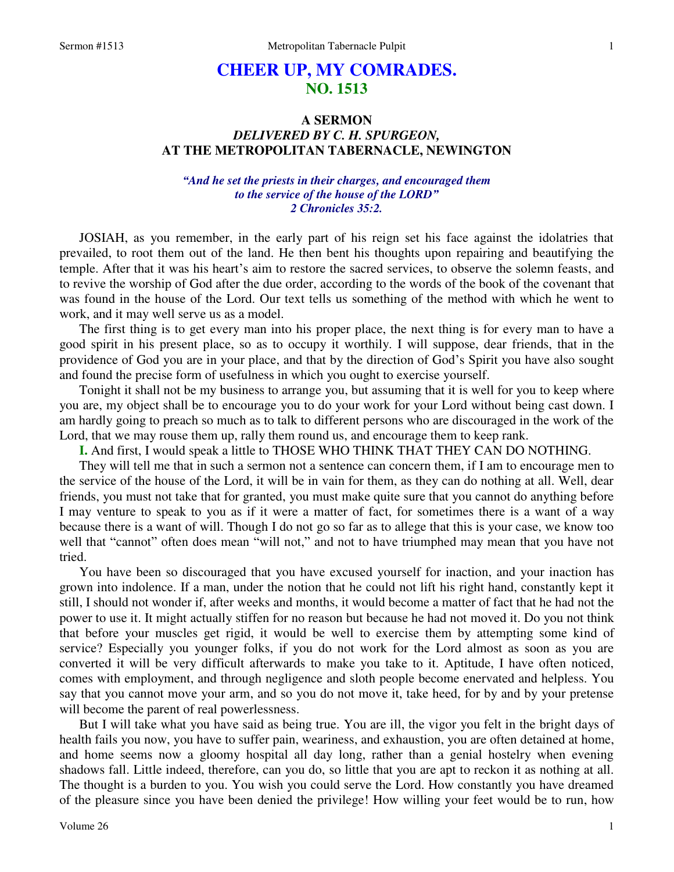# **CHEER UP, MY COMRADES. NO. 1513**

# **A SERMON**  *DELIVERED BY C. H. SPURGEON,*  **AT THE METROPOLITAN TABERNACLE, NEWINGTON**

### *"And he set the priests in their charges, and encouraged them to the service of the house of the LORD" 2 Chronicles 35:2.*

JOSIAH, as you remember, in the early part of his reign set his face against the idolatries that prevailed, to root them out of the land. He then bent his thoughts upon repairing and beautifying the temple. After that it was his heart's aim to restore the sacred services, to observe the solemn feasts, and to revive the worship of God after the due order, according to the words of the book of the covenant that was found in the house of the Lord. Our text tells us something of the method with which he went to work, and it may well serve us as a model.

 The first thing is to get every man into his proper place, the next thing is for every man to have a good spirit in his present place, so as to occupy it worthily. I will suppose, dear friends, that in the providence of God you are in your place, and that by the direction of God's Spirit you have also sought and found the precise form of usefulness in which you ought to exercise yourself.

 Tonight it shall not be my business to arrange you, but assuming that it is well for you to keep where you are, my object shall be to encourage you to do your work for your Lord without being cast down. I am hardly going to preach so much as to talk to different persons who are discouraged in the work of the Lord, that we may rouse them up, rally them round us, and encourage them to keep rank.

**I.** And first, I would speak a little to THOSE WHO THINK THAT THEY CAN DO NOTHING.

 They will tell me that in such a sermon not a sentence can concern them, if I am to encourage men to the service of the house of the Lord, it will be in vain for them, as they can do nothing at all. Well, dear friends, you must not take that for granted, you must make quite sure that you cannot do anything before I may venture to speak to you as if it were a matter of fact, for sometimes there is a want of a way because there is a want of will. Though I do not go so far as to allege that this is your case, we know too well that "cannot" often does mean "will not," and not to have triumphed may mean that you have not tried.

 You have been so discouraged that you have excused yourself for inaction, and your inaction has grown into indolence. If a man, under the notion that he could not lift his right hand, constantly kept it still, I should not wonder if, after weeks and months, it would become a matter of fact that he had not the power to use it. It might actually stiffen for no reason but because he had not moved it. Do you not think that before your muscles get rigid, it would be well to exercise them by attempting some kind of service? Especially you younger folks, if you do not work for the Lord almost as soon as you are converted it will be very difficult afterwards to make you take to it. Aptitude, I have often noticed, comes with employment, and through negligence and sloth people become enervated and helpless. You say that you cannot move your arm, and so you do not move it, take heed, for by and by your pretense will become the parent of real powerlessness.

 But I will take what you have said as being true. You are ill, the vigor you felt in the bright days of health fails you now, you have to suffer pain, weariness, and exhaustion, you are often detained at home, and home seems now a gloomy hospital all day long, rather than a genial hostelry when evening shadows fall. Little indeed, therefore, can you do, so little that you are apt to reckon it as nothing at all. The thought is a burden to you. You wish you could serve the Lord. How constantly you have dreamed of the pleasure since you have been denied the privilege! How willing your feet would be to run, how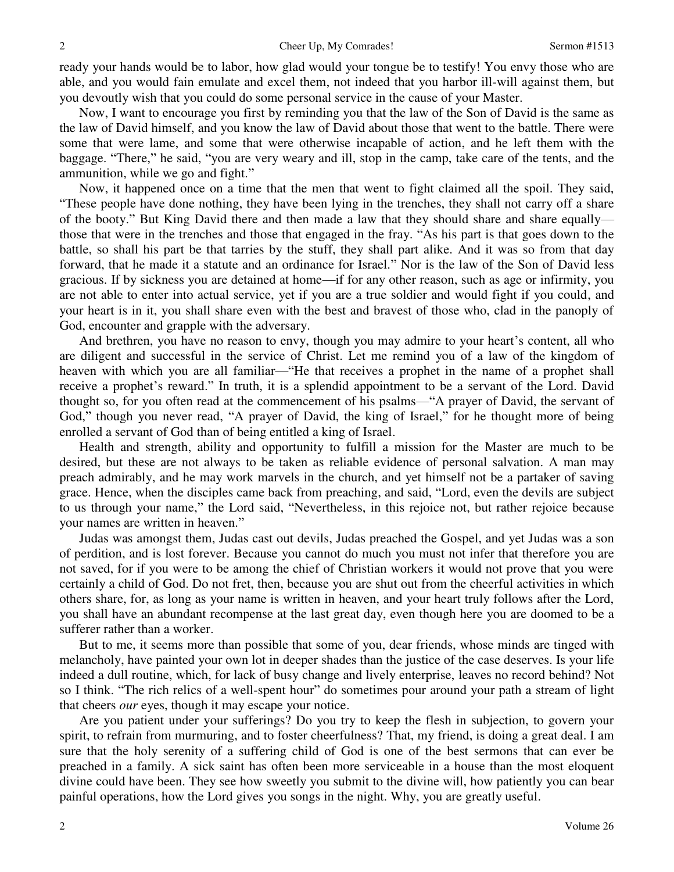ready your hands would be to labor, how glad would your tongue be to testify! You envy those who are able, and you would fain emulate and excel them, not indeed that you harbor ill-will against them, but you devoutly wish that you could do some personal service in the cause of your Master.

 Now, I want to encourage you first by reminding you that the law of the Son of David is the same as the law of David himself, and you know the law of David about those that went to the battle. There were some that were lame, and some that were otherwise incapable of action, and he left them with the baggage. "There," he said, "you are very weary and ill, stop in the camp, take care of the tents, and the ammunition, while we go and fight."

 Now, it happened once on a time that the men that went to fight claimed all the spoil. They said, "These people have done nothing, they have been lying in the trenches, they shall not carry off a share of the booty." But King David there and then made a law that they should share and share equally those that were in the trenches and those that engaged in the fray. "As his part is that goes down to the battle, so shall his part be that tarries by the stuff, they shall part alike. And it was so from that day forward, that he made it a statute and an ordinance for Israel." Nor is the law of the Son of David less gracious. If by sickness you are detained at home—if for any other reason, such as age or infirmity, you are not able to enter into actual service, yet if you are a true soldier and would fight if you could, and your heart is in it, you shall share even with the best and bravest of those who, clad in the panoply of God, encounter and grapple with the adversary.

 And brethren, you have no reason to envy, though you may admire to your heart's content, all who are diligent and successful in the service of Christ. Let me remind you of a law of the kingdom of heaven with which you are all familiar—"He that receives a prophet in the name of a prophet shall receive a prophet's reward." In truth, it is a splendid appointment to be a servant of the Lord. David thought so, for you often read at the commencement of his psalms—"A prayer of David, the servant of God," though you never read, "A prayer of David, the king of Israel," for he thought more of being enrolled a servant of God than of being entitled a king of Israel.

 Health and strength, ability and opportunity to fulfill a mission for the Master are much to be desired, but these are not always to be taken as reliable evidence of personal salvation. A man may preach admirably, and he may work marvels in the church, and yet himself not be a partaker of saving grace. Hence, when the disciples came back from preaching, and said, "Lord, even the devils are subject to us through your name," the Lord said, "Nevertheless, in this rejoice not, but rather rejoice because your names are written in heaven."

 Judas was amongst them, Judas cast out devils, Judas preached the Gospel, and yet Judas was a son of perdition, and is lost forever. Because you cannot do much you must not infer that therefore you are not saved, for if you were to be among the chief of Christian workers it would not prove that you were certainly a child of God. Do not fret, then, because you are shut out from the cheerful activities in which others share, for, as long as your name is written in heaven, and your heart truly follows after the Lord, you shall have an abundant recompense at the last great day, even though here you are doomed to be a sufferer rather than a worker.

 But to me, it seems more than possible that some of you, dear friends, whose minds are tinged with melancholy, have painted your own lot in deeper shades than the justice of the case deserves. Is your life indeed a dull routine, which, for lack of busy change and lively enterprise, leaves no record behind? Not so I think. "The rich relics of a well-spent hour" do sometimes pour around your path a stream of light that cheers *our* eyes, though it may escape your notice.

 Are you patient under your sufferings? Do you try to keep the flesh in subjection, to govern your spirit, to refrain from murmuring, and to foster cheerfulness? That, my friend, is doing a great deal. I am sure that the holy serenity of a suffering child of God is one of the best sermons that can ever be preached in a family. A sick saint has often been more serviceable in a house than the most eloquent divine could have been. They see how sweetly you submit to the divine will, how patiently you can bear painful operations, how the Lord gives you songs in the night. Why, you are greatly useful.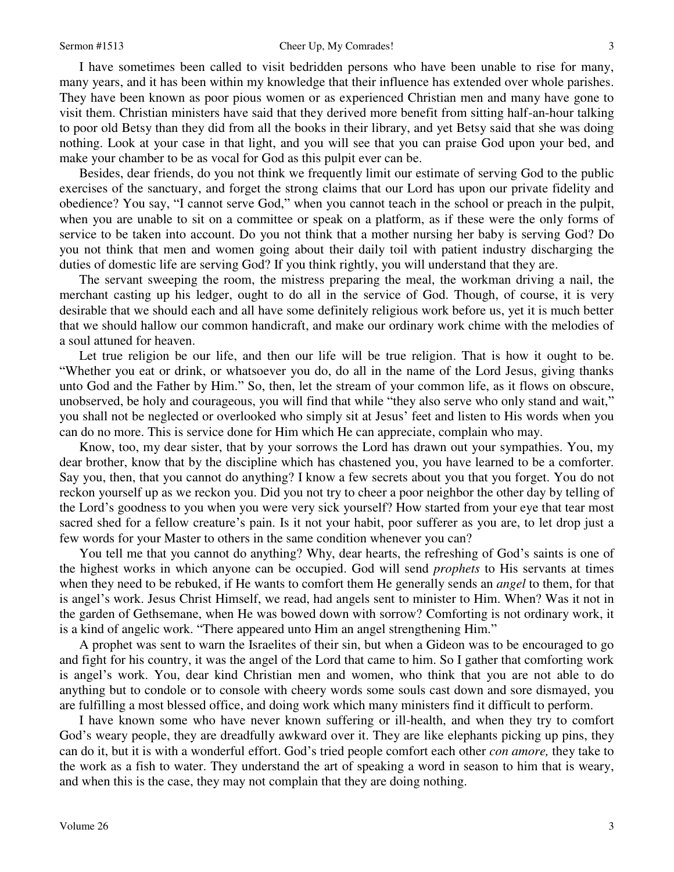#### Sermon #1513 Cheer Up, My Comrades! 3

 I have sometimes been called to visit bedridden persons who have been unable to rise for many, many years, and it has been within my knowledge that their influence has extended over whole parishes. They have been known as poor pious women or as experienced Christian men and many have gone to visit them. Christian ministers have said that they derived more benefit from sitting half-an-hour talking to poor old Betsy than they did from all the books in their library, and yet Betsy said that she was doing nothing. Look at your case in that light, and you will see that you can praise God upon your bed, and make your chamber to be as vocal for God as this pulpit ever can be.

 Besides, dear friends, do you not think we frequently limit our estimate of serving God to the public exercises of the sanctuary, and forget the strong claims that our Lord has upon our private fidelity and obedience? You say, "I cannot serve God," when you cannot teach in the school or preach in the pulpit, when you are unable to sit on a committee or speak on a platform, as if these were the only forms of service to be taken into account. Do you not think that a mother nursing her baby is serving God? Do you not think that men and women going about their daily toil with patient industry discharging the duties of domestic life are serving God? If you think rightly, you will understand that they are.

 The servant sweeping the room, the mistress preparing the meal, the workman driving a nail, the merchant casting up his ledger, ought to do all in the service of God. Though, of course, it is very desirable that we should each and all have some definitely religious work before us, yet it is much better that we should hallow our common handicraft, and make our ordinary work chime with the melodies of a soul attuned for heaven.

Let true religion be our life, and then our life will be true religion. That is how it ought to be. "Whether you eat or drink, or whatsoever you do, do all in the name of the Lord Jesus, giving thanks unto God and the Father by Him." So, then, let the stream of your common life, as it flows on obscure, unobserved, be holy and courageous, you will find that while "they also serve who only stand and wait," you shall not be neglected or overlooked who simply sit at Jesus' feet and listen to His words when you can do no more. This is service done for Him which He can appreciate, complain who may.

 Know, too, my dear sister, that by your sorrows the Lord has drawn out your sympathies. You, my dear brother, know that by the discipline which has chastened you, you have learned to be a comforter. Say you, then, that you cannot do anything? I know a few secrets about you that you forget. You do not reckon yourself up as we reckon you. Did you not try to cheer a poor neighbor the other day by telling of the Lord's goodness to you when you were very sick yourself? How started from your eye that tear most sacred shed for a fellow creature's pain. Is it not your habit, poor sufferer as you are, to let drop just a few words for your Master to others in the same condition whenever you can?

 You tell me that you cannot do anything? Why, dear hearts, the refreshing of God's saints is one of the highest works in which anyone can be occupied. God will send *prophets* to His servants at times when they need to be rebuked, if He wants to comfort them He generally sends an *angel* to them, for that is angel's work. Jesus Christ Himself, we read, had angels sent to minister to Him. When? Was it not in the garden of Gethsemane, when He was bowed down with sorrow? Comforting is not ordinary work, it is a kind of angelic work. "There appeared unto Him an angel strengthening Him."

A prophet was sent to warn the Israelites of their sin, but when a Gideon was to be encouraged to go and fight for his country, it was the angel of the Lord that came to him. So I gather that comforting work is angel's work. You, dear kind Christian men and women, who think that you are not able to do anything but to condole or to console with cheery words some souls cast down and sore dismayed, you are fulfilling a most blessed office, and doing work which many ministers find it difficult to perform.

 I have known some who have never known suffering or ill-health, and when they try to comfort God's weary people, they are dreadfully awkward over it. They are like elephants picking up pins, they can do it, but it is with a wonderful effort. God's tried people comfort each other *con amore,* they take to the work as a fish to water. They understand the art of speaking a word in season to him that is weary, and when this is the case, they may not complain that they are doing nothing.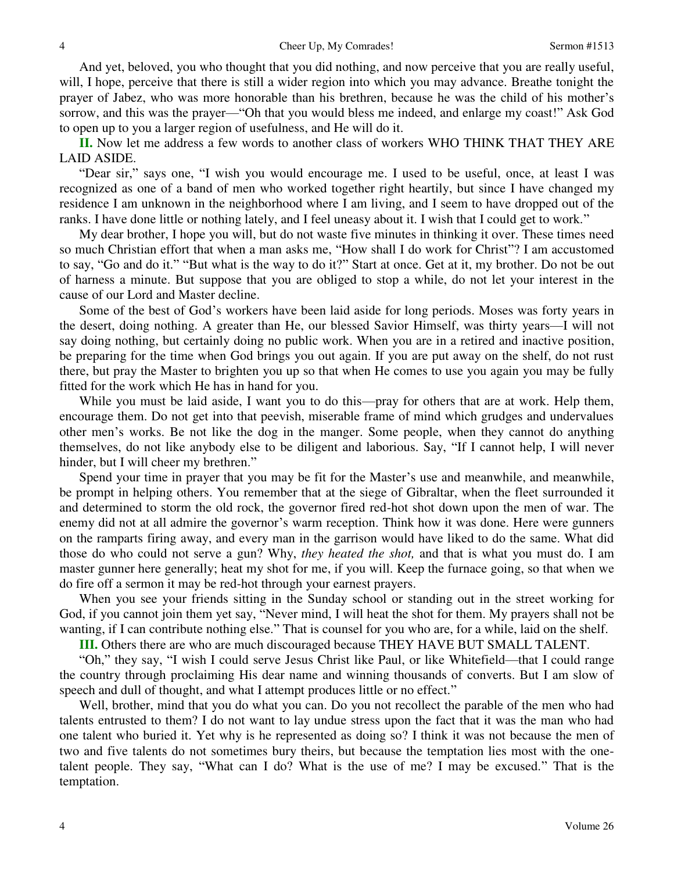And yet, beloved, you who thought that you did nothing, and now perceive that you are really useful, will, I hope, perceive that there is still a wider region into which you may advance. Breathe tonight the prayer of Jabez, who was more honorable than his brethren, because he was the child of his mother's sorrow, and this was the prayer—"Oh that you would bless me indeed, and enlarge my coast!" Ask God to open up to you a larger region of usefulness, and He will do it.

 **II.** Now let me address a few words to another class of workers WHO THINK THAT THEY ARE LAID ASIDE.

"Dear sir," says one, "I wish you would encourage me. I used to be useful, once, at least I was recognized as one of a band of men who worked together right heartily, but since I have changed my residence I am unknown in the neighborhood where I am living, and I seem to have dropped out of the ranks. I have done little or nothing lately, and I feel uneasy about it. I wish that I could get to work."

 My dear brother, I hope you will, but do not waste five minutes in thinking it over. These times need so much Christian effort that when a man asks me, "How shall I do work for Christ"? I am accustomed to say, "Go and do it." "But what is the way to do it?" Start at once. Get at it, my brother. Do not be out of harness a minute. But suppose that you are obliged to stop a while, do not let your interest in the cause of our Lord and Master decline.

 Some of the best of God's workers have been laid aside for long periods. Moses was forty years in the desert, doing nothing. A greater than He, our blessed Savior Himself, was thirty years—I will not say doing nothing, but certainly doing no public work. When you are in a retired and inactive position, be preparing for the time when God brings you out again. If you are put away on the shelf, do not rust there, but pray the Master to brighten you up so that when He comes to use you again you may be fully fitted for the work which He has in hand for you.

While you must be laid aside, I want you to do this—pray for others that are at work. Help them, encourage them. Do not get into that peevish, miserable frame of mind which grudges and undervalues other men's works. Be not like the dog in the manger. Some people, when they cannot do anything themselves, do not like anybody else to be diligent and laborious. Say, "If I cannot help, I will never hinder, but I will cheer my brethren."

 Spend your time in prayer that you may be fit for the Master's use and meanwhile, and meanwhile, be prompt in helping others. You remember that at the siege of Gibraltar, when the fleet surrounded it and determined to storm the old rock, the governor fired red-hot shot down upon the men of war. The enemy did not at all admire the governor's warm reception. Think how it was done. Here were gunners on the ramparts firing away, and every man in the garrison would have liked to do the same. What did those do who could not serve a gun? Why, *they heated the shot,* and that is what you must do. I am master gunner here generally; heat my shot for me, if you will. Keep the furnace going, so that when we do fire off a sermon it may be red-hot through your earnest prayers.

 When you see your friends sitting in the Sunday school or standing out in the street working for God, if you cannot join them yet say, "Never mind, I will heat the shot for them. My prayers shall not be wanting, if I can contribute nothing else." That is counsel for you who are, for a while, laid on the shelf.

**III.** Others there are who are much discouraged because THEY HAVE BUT SMALL TALENT.

"Oh," they say, "I wish I could serve Jesus Christ like Paul, or like Whitefield—that I could range the country through proclaiming His dear name and winning thousands of converts. But I am slow of speech and dull of thought, and what I attempt produces little or no effect."

 Well, brother, mind that you do what you can. Do you not recollect the parable of the men who had talents entrusted to them? I do not want to lay undue stress upon the fact that it was the man who had one talent who buried it. Yet why is he represented as doing so? I think it was not because the men of two and five talents do not sometimes bury theirs, but because the temptation lies most with the onetalent people. They say, "What can I do? What is the use of me? I may be excused." That is the temptation.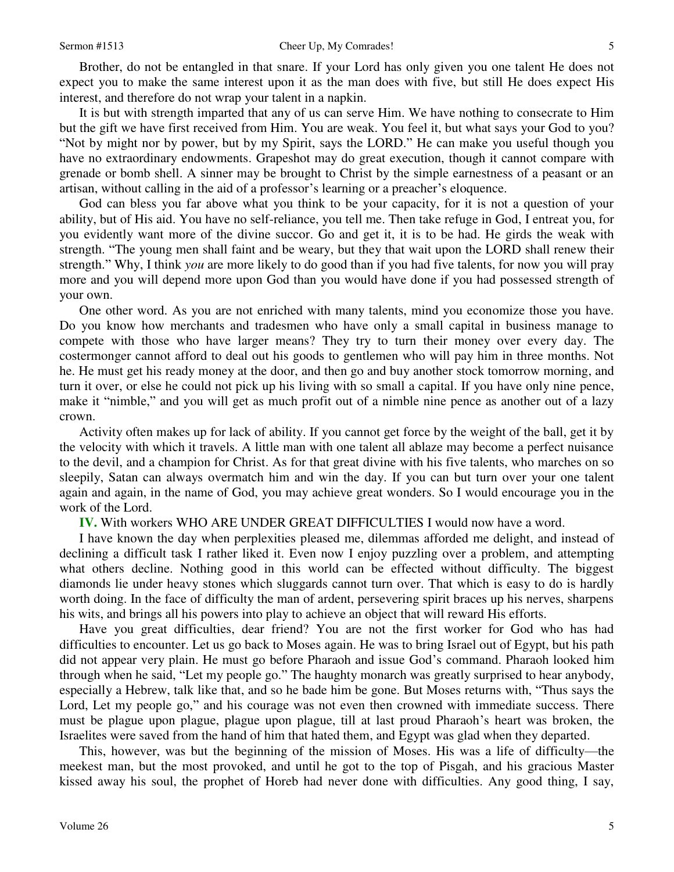Brother, do not be entangled in that snare. If your Lord has only given you one talent He does not expect you to make the same interest upon it as the man does with five, but still He does expect His interest, and therefore do not wrap your talent in a napkin.

 It is but with strength imparted that any of us can serve Him. We have nothing to consecrate to Him but the gift we have first received from Him. You are weak. You feel it, but what says your God to you? "Not by might nor by power, but by my Spirit, says the LORD." He can make you useful though you have no extraordinary endowments. Grapeshot may do great execution, though it cannot compare with grenade or bomb shell. A sinner may be brought to Christ by the simple earnestness of a peasant or an artisan, without calling in the aid of a professor's learning or a preacher's eloquence.

 God can bless you far above what you think to be your capacity, for it is not a question of your ability, but of His aid. You have no self-reliance, you tell me. Then take refuge in God, I entreat you, for you evidently want more of the divine succor. Go and get it, it is to be had. He girds the weak with strength. "The young men shall faint and be weary, but they that wait upon the LORD shall renew their strength." Why, I think *you* are more likely to do good than if you had five talents, for now you will pray more and you will depend more upon God than you would have done if you had possessed strength of your own.

 One other word. As you are not enriched with many talents, mind you economize those you have. Do you know how merchants and tradesmen who have only a small capital in business manage to compete with those who have larger means? They try to turn their money over every day. The costermonger cannot afford to deal out his goods to gentlemen who will pay him in three months. Not he. He must get his ready money at the door, and then go and buy another stock tomorrow morning, and turn it over, or else he could not pick up his living with so small a capital. If you have only nine pence, make it "nimble," and you will get as much profit out of a nimble nine pence as another out of a lazy crown.

 Activity often makes up for lack of ability. If you cannot get force by the weight of the ball, get it by the velocity with which it travels. A little man with one talent all ablaze may become a perfect nuisance to the devil, and a champion for Christ. As for that great divine with his five talents, who marches on so sleepily, Satan can always overmatch him and win the day. If you can but turn over your one talent again and again, in the name of God, you may achieve great wonders. So I would encourage you in the work of the Lord.

**IV.** With workers WHO ARE UNDER GREAT DIFFICULTIES I would now have a word.

 I have known the day when perplexities pleased me, dilemmas afforded me delight, and instead of declining a difficult task I rather liked it. Even now I enjoy puzzling over a problem, and attempting what others decline. Nothing good in this world can be effected without difficulty. The biggest diamonds lie under heavy stones which sluggards cannot turn over. That which is easy to do is hardly worth doing. In the face of difficulty the man of ardent, persevering spirit braces up his nerves, sharpens his wits, and brings all his powers into play to achieve an object that will reward His efforts.

 Have you great difficulties, dear friend? You are not the first worker for God who has had difficulties to encounter. Let us go back to Moses again. He was to bring Israel out of Egypt, but his path did not appear very plain. He must go before Pharaoh and issue God's command. Pharaoh looked him through when he said, "Let my people go." The haughty monarch was greatly surprised to hear anybody, especially a Hebrew, talk like that, and so he bade him be gone. But Moses returns with, "Thus says the Lord, Let my people go," and his courage was not even then crowned with immediate success. There must be plague upon plague, plague upon plague, till at last proud Pharaoh's heart was broken, the Israelites were saved from the hand of him that hated them, and Egypt was glad when they departed.

 This, however, was but the beginning of the mission of Moses. His was a life of difficulty—the meekest man, but the most provoked, and until he got to the top of Pisgah, and his gracious Master kissed away his soul, the prophet of Horeb had never done with difficulties. Any good thing, I say,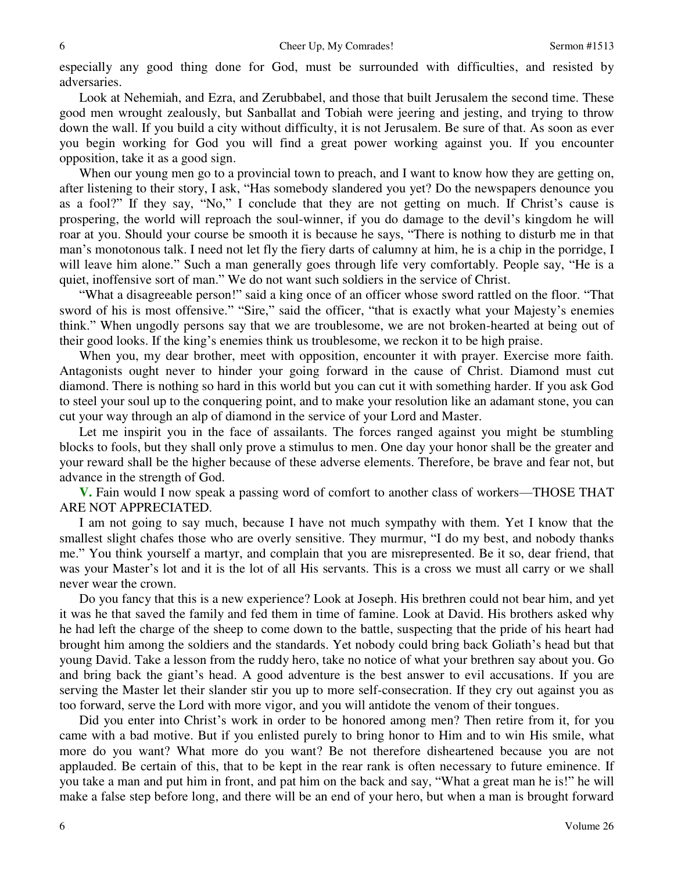especially any good thing done for God, must be surrounded with difficulties, and resisted by adversaries.

 Look at Nehemiah, and Ezra, and Zerubbabel, and those that built Jerusalem the second time. These good men wrought zealously, but Sanballat and Tobiah were jeering and jesting, and trying to throw down the wall. If you build a city without difficulty, it is not Jerusalem. Be sure of that. As soon as ever you begin working for God you will find a great power working against you. If you encounter opposition, take it as a good sign.

When our young men go to a provincial town to preach, and I want to know how they are getting on, after listening to their story, I ask, "Has somebody slandered you yet? Do the newspapers denounce you as a fool?" If they say, "No," I conclude that they are not getting on much. If Christ's cause is prospering, the world will reproach the soul-winner, if you do damage to the devil's kingdom he will roar at you. Should your course be smooth it is because he says, "There is nothing to disturb me in that man's monotonous talk. I need not let fly the fiery darts of calumny at him, he is a chip in the porridge, I will leave him alone." Such a man generally goes through life very comfortably. People say, "He is a quiet, inoffensive sort of man." We do not want such soldiers in the service of Christ.

"What a disagreeable person!" said a king once of an officer whose sword rattled on the floor. "That sword of his is most offensive." "Sire," said the officer, "that is exactly what your Majesty's enemies think." When ungodly persons say that we are troublesome, we are not broken-hearted at being out of their good looks. If the king's enemies think us troublesome, we reckon it to be high praise.

 When you, my dear brother, meet with opposition, encounter it with prayer. Exercise more faith. Antagonists ought never to hinder your going forward in the cause of Christ. Diamond must cut diamond. There is nothing so hard in this world but you can cut it with something harder. If you ask God to steel your soul up to the conquering point, and to make your resolution like an adamant stone, you can cut your way through an alp of diamond in the service of your Lord and Master.

 Let me inspirit you in the face of assailants. The forces ranged against you might be stumbling blocks to fools, but they shall only prove a stimulus to men. One day your honor shall be the greater and your reward shall be the higher because of these adverse elements. Therefore, be brave and fear not, but advance in the strength of God.

**V.** Fain would I now speak a passing word of comfort to another class of workers—THOSE THAT ARE NOT APPRECIATED.

 I am not going to say much, because I have not much sympathy with them. Yet I know that the smallest slight chafes those who are overly sensitive. They murmur, "I do my best, and nobody thanks me." You think yourself a martyr, and complain that you are misrepresented. Be it so, dear friend, that was your Master's lot and it is the lot of all His servants. This is a cross we must all carry or we shall never wear the crown.

 Do you fancy that this is a new experience? Look at Joseph. His brethren could not bear him, and yet it was he that saved the family and fed them in time of famine. Look at David. His brothers asked why he had left the charge of the sheep to come down to the battle, suspecting that the pride of his heart had brought him among the soldiers and the standards. Yet nobody could bring back Goliath's head but that young David. Take a lesson from the ruddy hero, take no notice of what your brethren say about you. Go and bring back the giant's head. A good adventure is the best answer to evil accusations. If you are serving the Master let their slander stir you up to more self-consecration. If they cry out against you as too forward, serve the Lord with more vigor, and you will antidote the venom of their tongues.

 Did you enter into Christ's work in order to be honored among men? Then retire from it, for you came with a bad motive. But if you enlisted purely to bring honor to Him and to win His smile, what more do you want? What more do you want? Be not therefore disheartened because you are not applauded. Be certain of this, that to be kept in the rear rank is often necessary to future eminence. If you take a man and put him in front, and pat him on the back and say, "What a great man he is!" he will make a false step before long, and there will be an end of your hero, but when a man is brought forward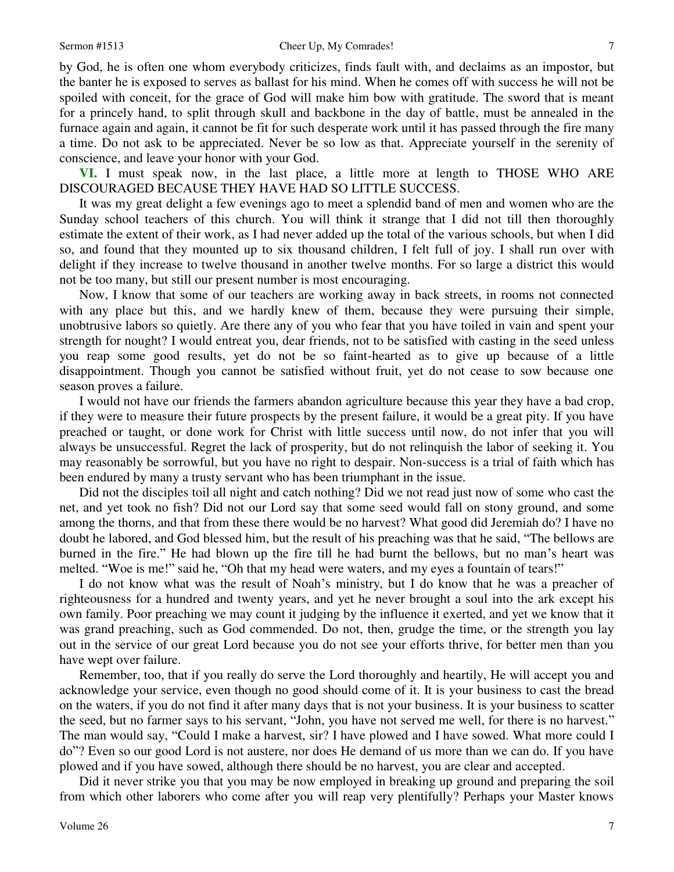by God, he is often one whom everybody criticizes, finds fault with, and declaims as an impostor, but the banter he is exposed to serves as ballast for his mind. When he comes off with success he will not be spoiled with conceit, for the grace of God will make him bow with gratitude. The sword that is meant for a princely hand, to split through skull and backbone in the day of battle, must be annealed in the furnace again and again, it cannot be fit for such desperate work until it has passed through the fire many a time. Do not ask to be appreciated. Never be so low as that. Appreciate yourself in the serenity of conscience, and leave your honor with your God.

**VI.** I must speak now, in the last place, a little more at length to THOSE WHO ARE DISCOURAGED BECAUSE THEY HAVE HAD SO LITTLE SUCCESS.

 It was my great delight a few evenings ago to meet a splendid band of men and women who are the Sunday school teachers of this church. You will think it strange that I did not till then thoroughly estimate the extent of their work, as I had never added up the total of the various schools, but when I did so, and found that they mounted up to six thousand children, I felt full of joy. I shall run over with delight if they increase to twelve thousand in another twelve months. For so large a district this would not be too many, but still our present number is most encouraging.

 Now, I know that some of our teachers are working away in back streets, in rooms not connected with any place but this, and we hardly knew of them, because they were pursuing their simple, unobtrusive labors so quietly. Are there any of you who fear that you have toiled in vain and spent your strength for nought? I would entreat you, dear friends, not to be satisfied with casting in the seed unless you reap some good results, yet do not be so faint-hearted as to give up because of a little disappointment. Though you cannot be satisfied without fruit, yet do not cease to sow because one season proves a failure.

 I would not have our friends the farmers abandon agriculture because this year they have a bad crop, if they were to measure their future prospects by the present failure, it would be a great pity. If you have preached or taught, or done work for Christ with little success until now, do not infer that you will always be unsuccessful. Regret the lack of prosperity, but do not relinquish the labor of seeking it. You may reasonably be sorrowful, but you have no right to despair. Non-success is a trial of faith which has been endured by many a trusty servant who has been triumphant in the issue.

Did not the disciples toil all night and catch nothing? Did we not read just now of some who cast the net, and yet took no fish? Did not our Lord say that some seed would fall on stony ground, and some among the thorns, and that from these there would be no harvest? What good did Jeremiah do? I have no doubt he labored, and God blessed him, but the result of his preaching was that he said, "The bellows are burned in the fire." He had blown up the fire till he had burnt the bellows, but no man's heart was melted. "Woe is me!" said he, "Oh that my head were waters, and my eyes a fountain of tears!"

 I do not know what was the result of Noah's ministry, but I do know that he was a preacher of righteousness for a hundred and twenty years, and yet he never brought a soul into the ark except his own family. Poor preaching we may count it judging by the influence it exerted, and yet we know that it was grand preaching, such as God commended. Do not, then, grudge the time, or the strength you lay out in the service of our great Lord because you do not see your efforts thrive, for better men than you have wept over failure.

 Remember, too, that if you really do serve the Lord thoroughly and heartily, He will accept you and acknowledge your service, even though no good should come of it. It is your business to cast the bread on the waters, if you do not find it after many days that is not your business. It is your business to scatter the seed, but no farmer says to his servant, "John, you have not served me well, for there is no harvest." The man would say, "Could I make a harvest, sir? I have plowed and I have sowed. What more could I do"? Even so our good Lord is not austere, nor does He demand of us more than we can do. If you have plowed and if you have sowed, although there should be no harvest, you are clear and accepted.

 Did it never strike you that you may be now employed in breaking up ground and preparing the soil from which other laborers who come after you will reap very plentifully? Perhaps your Master knows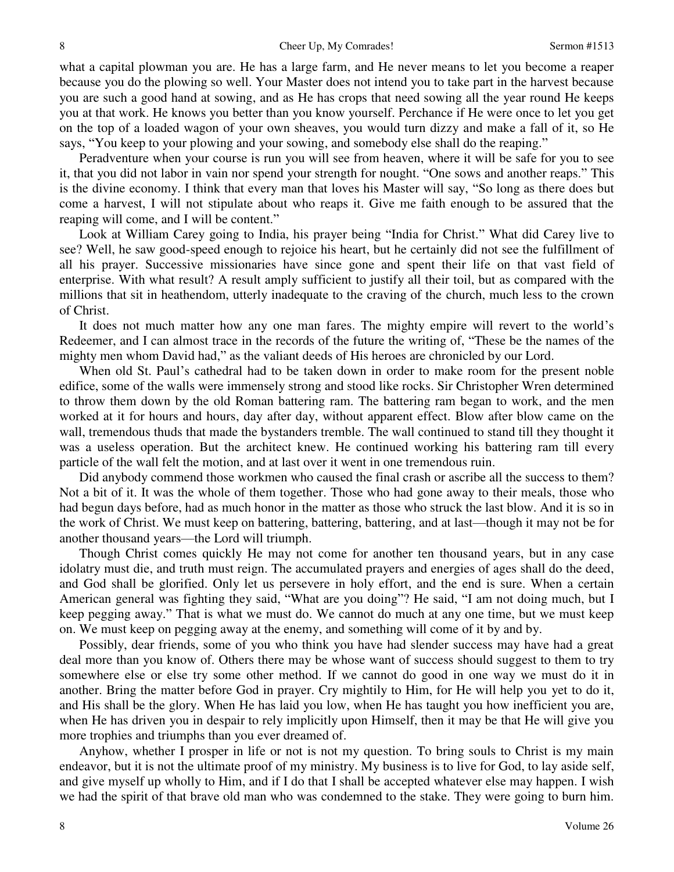what a capital plowman you are. He has a large farm, and He never means to let you become a reaper because you do the plowing so well. Your Master does not intend you to take part in the harvest because you are such a good hand at sowing, and as He has crops that need sowing all the year round He keeps you at that work. He knows you better than you know yourself. Perchance if He were once to let you get on the top of a loaded wagon of your own sheaves, you would turn dizzy and make a fall of it, so He says, "You keep to your plowing and your sowing, and somebody else shall do the reaping."

 Peradventure when your course is run you will see from heaven, where it will be safe for you to see it, that you did not labor in vain nor spend your strength for nought. "One sows and another reaps." This is the divine economy. I think that every man that loves his Master will say, "So long as there does but come a harvest, I will not stipulate about who reaps it. Give me faith enough to be assured that the reaping will come, and I will be content."

 Look at William Carey going to India, his prayer being "India for Christ." What did Carey live to see? Well, he saw good-speed enough to rejoice his heart, but he certainly did not see the fulfillment of all his prayer. Successive missionaries have since gone and spent their life on that vast field of enterprise. With what result? A result amply sufficient to justify all their toil, but as compared with the millions that sit in heathendom, utterly inadequate to the craving of the church, much less to the crown of Christ.

 It does not much matter how any one man fares. The mighty empire will revert to the world's Redeemer, and I can almost trace in the records of the future the writing of, "These be the names of the mighty men whom David had," as the valiant deeds of His heroes are chronicled by our Lord.

 When old St. Paul's cathedral had to be taken down in order to make room for the present noble edifice, some of the walls were immensely strong and stood like rocks. Sir Christopher Wren determined to throw them down by the old Roman battering ram. The battering ram began to work, and the men worked at it for hours and hours, day after day, without apparent effect. Blow after blow came on the wall, tremendous thuds that made the bystanders tremble. The wall continued to stand till they thought it was a useless operation. But the architect knew. He continued working his battering ram till every particle of the wall felt the motion, and at last over it went in one tremendous ruin.

 Did anybody commend those workmen who caused the final crash or ascribe all the success to them? Not a bit of it. It was the whole of them together. Those who had gone away to their meals, those who had begun days before, had as much honor in the matter as those who struck the last blow. And it is so in the work of Christ. We must keep on battering, battering, battering, and at last—though it may not be for another thousand years—the Lord will triumph.

 Though Christ comes quickly He may not come for another ten thousand years, but in any case idolatry must die, and truth must reign. The accumulated prayers and energies of ages shall do the deed, and God shall be glorified. Only let us persevere in holy effort, and the end is sure. When a certain American general was fighting they said, "What are you doing"? He said, "I am not doing much, but I keep pegging away." That is what we must do. We cannot do much at any one time, but we must keep on. We must keep on pegging away at the enemy, and something will come of it by and by.

 Possibly, dear friends, some of you who think you have had slender success may have had a great deal more than you know of. Others there may be whose want of success should suggest to them to try somewhere else or else try some other method. If we cannot do good in one way we must do it in another. Bring the matter before God in prayer. Cry mightily to Him, for He will help you yet to do it, and His shall be the glory. When He has laid you low, when He has taught you how inefficient you are, when He has driven you in despair to rely implicitly upon Himself, then it may be that He will give you more trophies and triumphs than you ever dreamed of.

 Anyhow, whether I prosper in life or not is not my question. To bring souls to Christ is my main endeavor, but it is not the ultimate proof of my ministry. My business is to live for God, to lay aside self, and give myself up wholly to Him, and if I do that I shall be accepted whatever else may happen. I wish we had the spirit of that brave old man who was condemned to the stake. They were going to burn him.